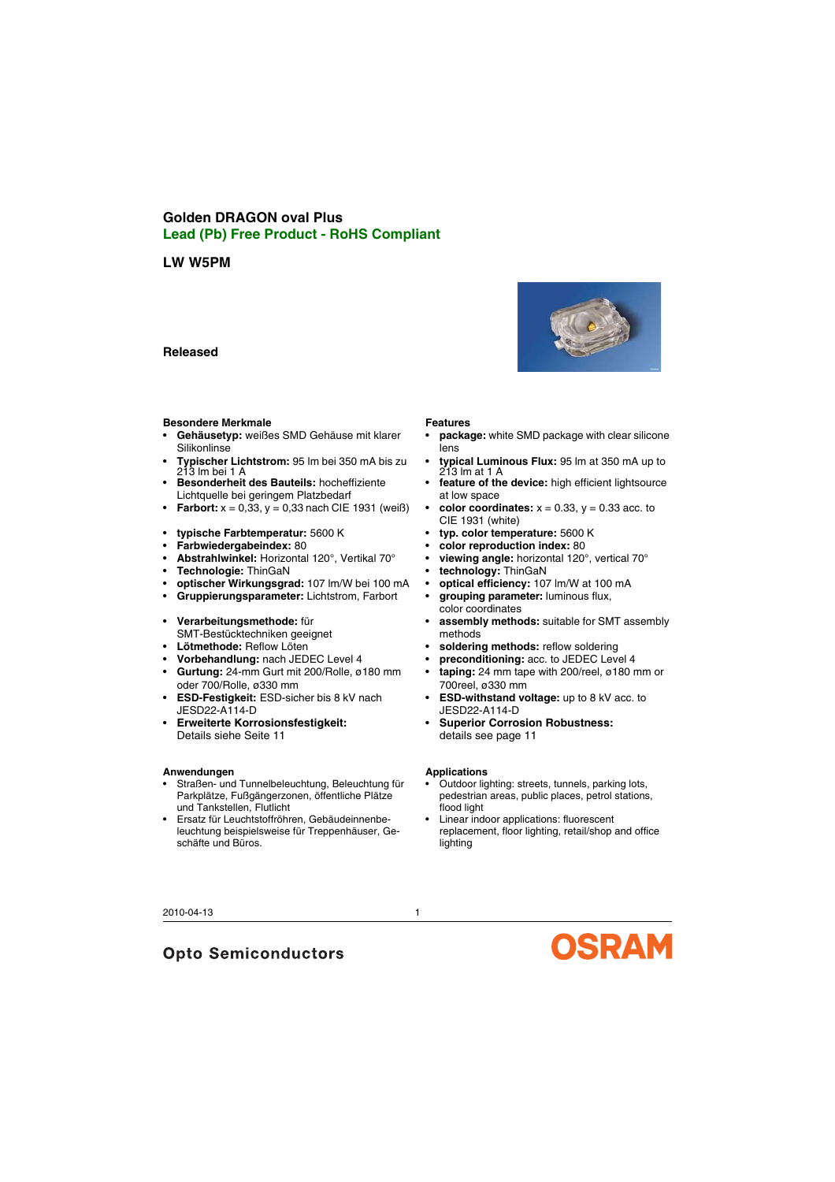# **Golden DRAGON oval Plus Lead (Pb) Free Product - RoHS Compliant**

# **LW W5PM**

# **Released**

#### **Besondere Merkmale**

- **Gehäusetyp:** weißes SMD Gehäuse mit klarer **Silikonlinse**
- **Typischer Lichtstrom:** 95 lm bei 350 mA bis zu 213 lm bei 1 A
- **Besonderheit des Bauteils:** hocheffiziente Lichtquelle bei geringem Platzbedarf
- **Farbort:**  $x = 0.33$ .  $y = 0.33$  nach CIE 1931 (weiß)
- **typische Farbtemperatur:** 5600 K
- **Farbwiedergabeindex:** 80
- **Abstrahlwinkel:** Horizontal 120°, Vertikal 70°
- **Technologie:** ThinGaN
- **optischer Wirkungsgrad:** 107 lm/W bei 100 mA
- **Gruppierungsparameter:** Lichtstrom, Farbort
- **Verarbeitungsmethode:** für SMT-Bestücktechniken geeignet
- **Lötmethode:** Reflow Löten
- **Vorbehandlung:** nach JEDEC Level 4
- **Gurtung:** 24-mm Gurt mit 200/Rolle, ø180 mm oder 700/Rolle, ø330 mm
- **ESD-Festigkeit:** ESD-sicher bis 8 kV nach JESD22-A114-D
- **Erweiterte Korrosionsfestigkeit:** Details siehe [Seite](#page-10-0) 11

#### **Anwendungen**

- Straßen- und Tunnelbeleuchtung, Beleuchtung für Parkplätze, Fußgängerzonen, öffentliche Plätze und Tankstellen, Flutlicht
- Ersatz für Leuchtstoffröhren, Gebäudeinnenbeleuchtung beispielsweise für Treppenhäuser, Geschäfte und Büros.

#### **Features**

- **package:** white SMD package with clear silicone lens
- **typical Luminous Flux:** 95 lm at 350 mA up to 213 lm at 1 A
- **feature of the device:** high efficient lightsource at low space
- **color coordinates:**  $x = 0.33$ ,  $y = 0.33$  acc. to CIE 1931 (white)
- **typ. color temperature:** 5600 K
- **color reproduction index:** 80
- **viewing angle:** horizontal 120°, vertical 70°
- **technology:** ThinGaN
- **optical efficiency:** 107 lm/W at 100 mA
- **grouping parameter:** luminous flux, color coordinates
- **assembly methods:** suitable for SMT assembly methods
- **soldering methods:** reflow soldering
- **preconditioning:** acc. to JEDEC Level 4
- **taping:** 24 mm tape with 200/reel, ø180 mm or 700reel, ø330 mm
- **ESD-withstand voltage:** up to 8 kV acc. to JESD22-A114-D
- **Superior Corrosion Robustness:** details see [page](#page-10-0) 11

#### **Applications**

- Outdoor lighting: streets, tunnels, parking lots, pedestrian areas, public places, petrol stations, flood light
- Linear indoor applications: fluorescent replacement, floor lighting, retail/shop and office lighting

**OSRAM** 



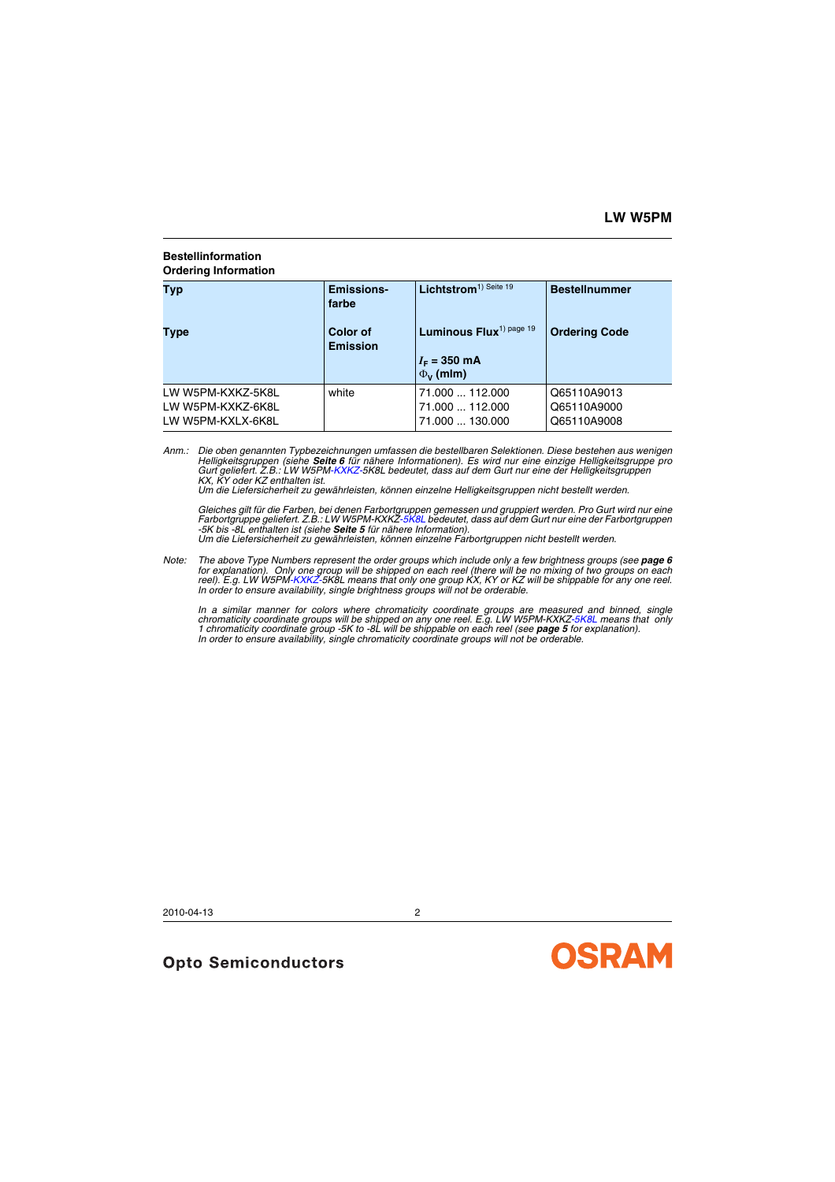### **Bestellinformation Ordering Information**

| Typ                                                         | <b>Emissions-</b><br>farbe  | Lichtstrom <sup>1)</sup> Seite 19                             | <b>Bestellnummer</b>                      |  |
|-------------------------------------------------------------|-----------------------------|---------------------------------------------------------------|-------------------------------------------|--|
| Type                                                        | Color of<br><b>Emission</b> | Luminous Flux <sup>1) page 19</sup><br>$I_F = 350 \text{ mA}$ | <b>Ordering Code</b>                      |  |
|                                                             |                             | $\Phi_{V}$ (mlm)                                              |                                           |  |
| LW W5PM-KXKZ-5K8L<br>LW W5PM-KXKZ-6K8L<br>LW W5PM-KXLX-6K8L | white                       | 71.000  112.000<br>71.000  112.000<br>71.000  130.000         | Q65110A9013<br>Q65110A9000<br>Q65110A9008 |  |

*Anm.: Die oben genannten Typbezeichnungen umfassen die bestellbaren Selektionen. Diese bestehen aus wenigen Helligkeitsgruppen (siehe [Seite](#page-5-0) 6 für nähere Informationen). Es wird nur eine einzige Helligkeitsgruppe pro Gurt geliefert. Z.B.: LW W5PM-KXKZ-5K8L bedeutet, dass auf dem Gurt nur eine der Helligkeitsgruppen KX, KY oder KZ enthalten ist.*

*Um die Liefersicherheit zu gewährleisten, können einzelne Helligkeitsgruppen nicht bestellt werden.*

Gleiches gilt für die Farben, bei denen Farbortgruppen gemessen und gruppiert werden. Pro Gurt wird nur eine<br>Farbortgruppe geliefert. Z.B.: LW W5PM-KXKZ-5K8L bedeutet, dass auf dem Gurt nur eine der Farbortgruppen *-5K bis -8L enthalten ist (siehe [Seite](#page-4-0) 5 für nähere Information). Um die Liefersicherheit zu gewährleisten, können einzelne Farbortgruppen nicht bestellt werden.*

*Note:* The above Type Numbers represent the order groups which include only a few brightness groups (see **[page](#page-5-0) 6** for explanation). Only one group will be shipped on each reel (there will be no mixing of two groups on each<br>reel). E.g. LW W5PM-KXKZ-5K8L means that only one group KX, KY or KZ will be shippable for any one reel. *In order to ensure availability, single brightness groups will not be orderable.*

In a similar manner for colors where chromaticity coordinate groups are measured and binned, single *chromaticity coordinate groups will be shipped on any one reel. E.g. LW W5PM-KXKZ-5K8L means that only 1 chromaticity coordinate group -5K to -8L will be shippable on each reel (see [page](#page-4-0) 5 for explanation). In order to ensure availability, single chromaticity coordinate groups will not be orderable.*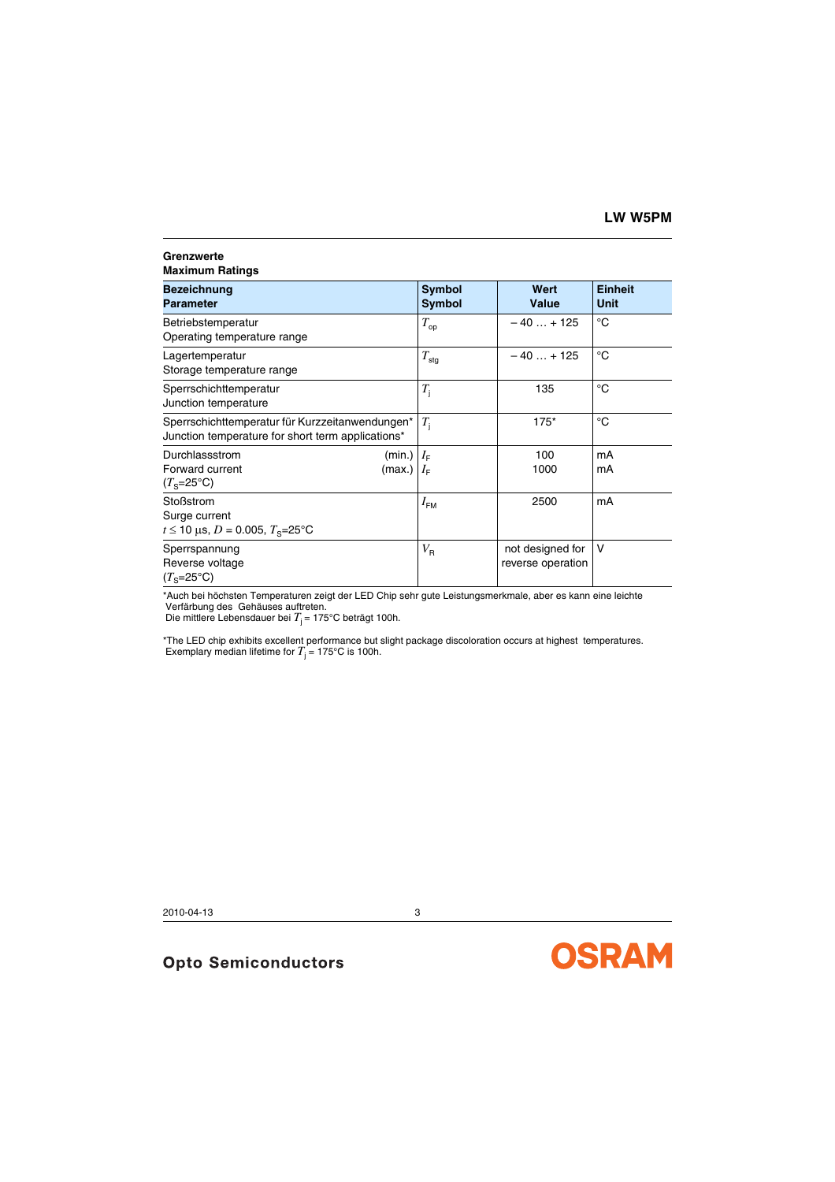#### **Grenzwerte Maximum Ratings**

| Bezeichnung<br>Parameter                                                                               | Symbol<br>Symbol | Wert<br>Value                         | <b>Einheit</b><br><b>Unit</b> |
|--------------------------------------------------------------------------------------------------------|------------------|---------------------------------------|-------------------------------|
| Betriebstemperatur<br>Operating temperature range                                                      | $T_{op}$         | $-40+125$                             | °C                            |
| Lagertemperatur<br>Storage temperature range                                                           | $T_{\text{stg}}$ | $-40+125$                             | °C                            |
| Sperrschichttemperatur<br>Junction temperature                                                         | $T_{\rm i}$      | 135                                   | °C                            |
| Sperrschichttemperatur für Kurzzeitanwendungen*<br>Junction temperature for short term applications*   | $T_{\rm i}$      | $175*$                                | °C                            |
| Durchlassstrom<br>(min.) $ I_{\text{F}} $<br>Forward current<br>(max.) $ I_{\text{F}} $<br>$(Ts=25°C)$ |                  | 100<br>1000                           | mA<br>mA                      |
| Stoßstrom<br>Surge current<br>$t \le 10$ µs, D = 0.005, $T_s = 25$ °C                                  | $I_{\text{FM}}$  | 2500                                  | mA                            |
| Sperrspannung<br>Reverse voltage<br>$(Ts=25oC)$                                                        | $V_{\sf R}$      | not designed for<br>reverse operation | v                             |

\*Auch bei höchsten Temperaturen zeigt der LED Chip sehr gute Leistungsmerkmale, aber es kann eine leichte Verfärbung des Gehäuses auftreten.

Die mittlere Lebensdauer bei *T*<sub>j</sub> = 175°C beträgt 100h.

\*The LED chip exhibits excellent performance but slight package discoloration occurs at highest temperatures. Exemplary median lifetime for  $T_{\rm j}$  = 175°C is 100h.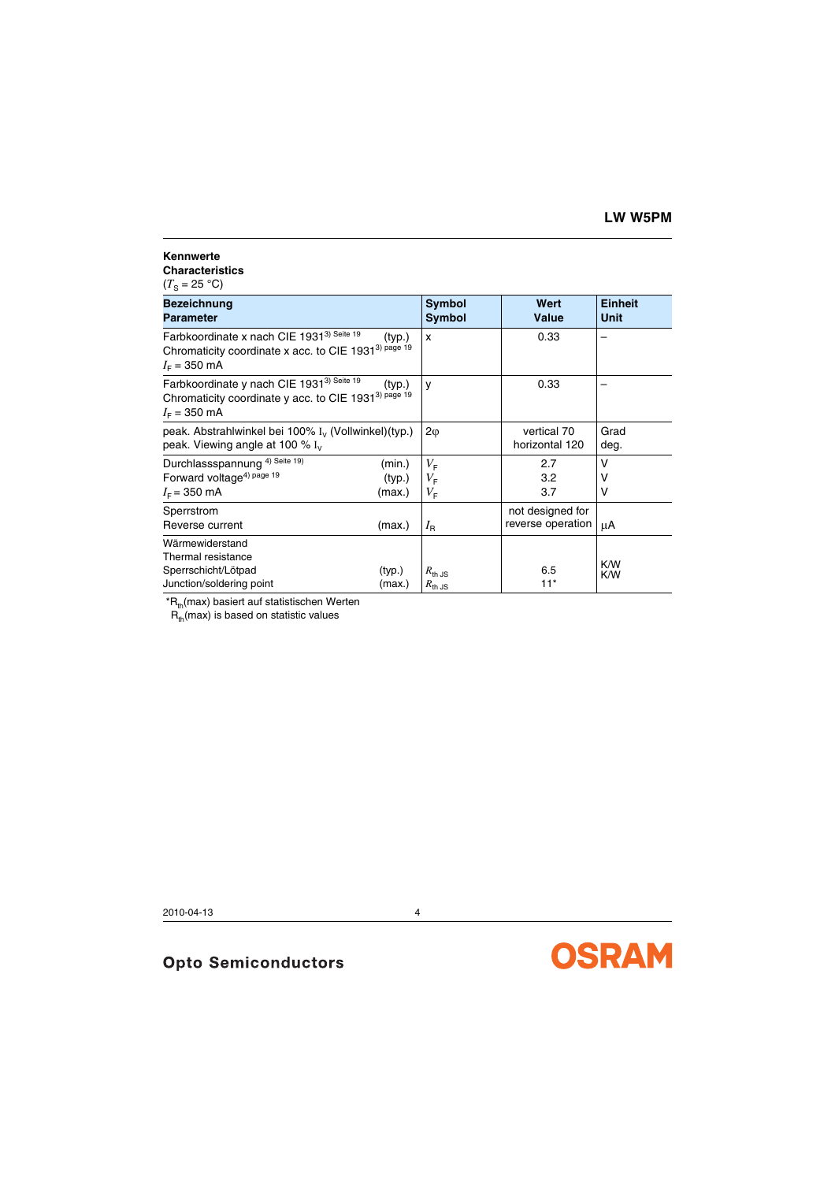#### **Kennwerte Characteristics**

 $(T_{\rm S} = 25 \text{ °C})$ 

| <b>Bezeichnung</b><br><b>Parameter</b>                                                                                                              |                            | Symbol<br>Symbol                          | Wert<br><b>Value</b>                  | <b>Einheit</b><br>Unit |
|-----------------------------------------------------------------------------------------------------------------------------------------------------|----------------------------|-------------------------------------------|---------------------------------------|------------------------|
| Farbkoordinate x nach CIE 1931 <sup>3) Seite 19</sup><br>Chromaticity coordinate x acc. to CIE 1931 <sup>3) page 19</sup><br>$I_{\rm E}$ = 350 mA   | (typ.)                     | x                                         | 0.33                                  |                        |
| Farbkoordinate y nach CIE 1931 <sup>3) Seite 19</sup><br>Chromaticity coordinate y acc. to CIE 1931 <sup>3) page 19</sup><br>$I_F = 350 \text{ mA}$ | (typ.)                     | y                                         | 0.33                                  |                        |
| peak. Abstrahlwinkel bei 100% I <sub>v</sub> (Vollwinkel) (typ.)<br>peak. Viewing angle at 100 $\%$ I <sub>V</sub>                                  |                            | $2\varphi$                                | vertical 70<br>horizontal 120         | Grad<br>deg.           |
| Durchlassspannung <sup>4) Seite 19)</sup><br>Forward voltage <sup>4) page 19</sup><br>$I_F$ = 350 mA                                                | (min.)<br>(typ.)<br>(max.) | $V_{\rm F}$<br>$V_{\rm F}$<br>$V_{\rm F}$ | 2.7<br>3.2<br>3.7                     | v<br>ν<br>v            |
| Sperrstrom<br>Reverse current                                                                                                                       | (max.)                     | $I_{\rm R}$                               | not designed for<br>reverse operation | μA                     |
| Wärmewiderstand<br>Thermal resistance<br>Sperrschicht/Lötpad<br>Junction/soldering point                                                            | (typ.)<br>(max.)           | $R_{\text{th JS}}$<br>$R_{\text{th JS}}$  | 6.5<br>$11*$                          | K/W<br>K/W             |

 $*R<sub>th</sub>$ (max) basiert auf statistischen Werten

 $R_{th}$ (max) is based on statistic values

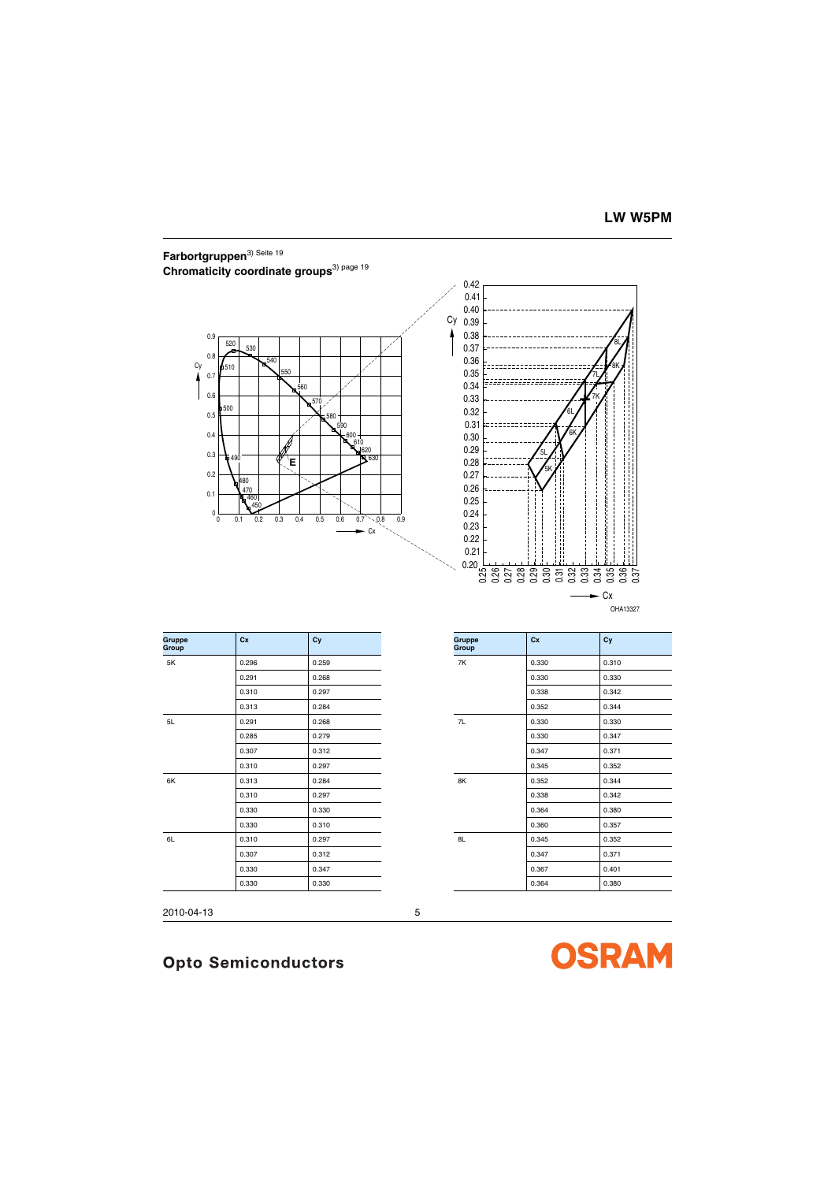# <span id="page-4-0"></span>**Farbortgruppen**3) [Seite](#page-18-0) <sup>19</sup> **Chromaticity coordinate groups**3) [page](#page-18-1) <sup>19</sup>



OHA13327

| <b>Gruppe</b><br>Group | Cx    | Cy    | <b>Gruppe</b><br>Group | cx    | Cy    |
|------------------------|-------|-------|------------------------|-------|-------|
| 5K                     | 0.296 | 0.259 | 7K                     | 0.330 | 0.310 |
|                        | 0.291 | 0.268 |                        | 0.330 | 0.330 |
|                        | 0.310 | 0.297 |                        | 0.338 | 0.342 |
|                        | 0.313 | 0.284 |                        | 0.352 | 0.344 |
| 5L                     | 0.291 | 0.268 | 7L                     | 0.330 | 0.330 |
|                        | 0.285 | 0.279 |                        | 0.330 | 0.347 |
|                        | 0.307 | 0.312 |                        | 0.347 | 0.371 |
|                        | 0.310 | 0.297 |                        | 0.345 | 0.352 |
| 6K                     | 0.313 | 0.284 | 8K                     | 0.352 | 0.344 |
|                        | 0.310 | 0.297 |                        | 0.338 | 0.342 |
|                        | 0.330 | 0.330 |                        | 0.364 | 0.380 |
|                        | 0.330 | 0.310 |                        | 0.360 | 0.357 |
| 6L                     | 0.310 | 0.297 | 8L                     | 0.345 | 0.352 |
|                        | 0.307 | 0.312 |                        | 0.347 | 0.371 |
|                        | 0.330 | 0.347 |                        | 0.367 | 0.401 |
|                        | 0.330 | 0.330 |                        | 0.364 | 0.380 |

|       |       | . . |       |       |
|-------|-------|-----|-------|-------|
| 0.296 | 0.259 | 7K  | 0.330 | 0.310 |
| 0.291 | 0.268 |     | 0.330 | 0.330 |
| 0.310 | 0.297 |     | 0.338 | 0.342 |
| 0.313 | 0.284 |     | 0.352 | 0.344 |
| 0.291 | 0.268 | 7L  | 0.330 | 0.330 |
| 0.285 | 0.279 |     | 0.330 | 0.347 |
| 0.307 | 0.312 |     | 0.347 | 0.371 |
| 0.310 | 0.297 |     | 0.345 | 0.352 |
| 0.313 | 0.284 | 8K  | 0.352 | 0.344 |
| 0.310 | 0.297 |     | 0.338 | 0.342 |
| 0.330 | 0.330 |     | 0.364 | 0.380 |
| 0.330 | 0.310 |     | 0.360 | 0.357 |
| 0.310 | 0.297 | 8L  | 0.345 | 0.352 |
| 0.307 | 0.312 |     | 0.347 | 0.371 |
| 0.330 | 0.347 |     | 0.367 | 0.401 |
| 0.330 | 0.330 |     | 0.364 | 0.380 |
|       |       |     |       |       |

2010-04-13 5

# **Opto Semiconductors**

**OSRAM**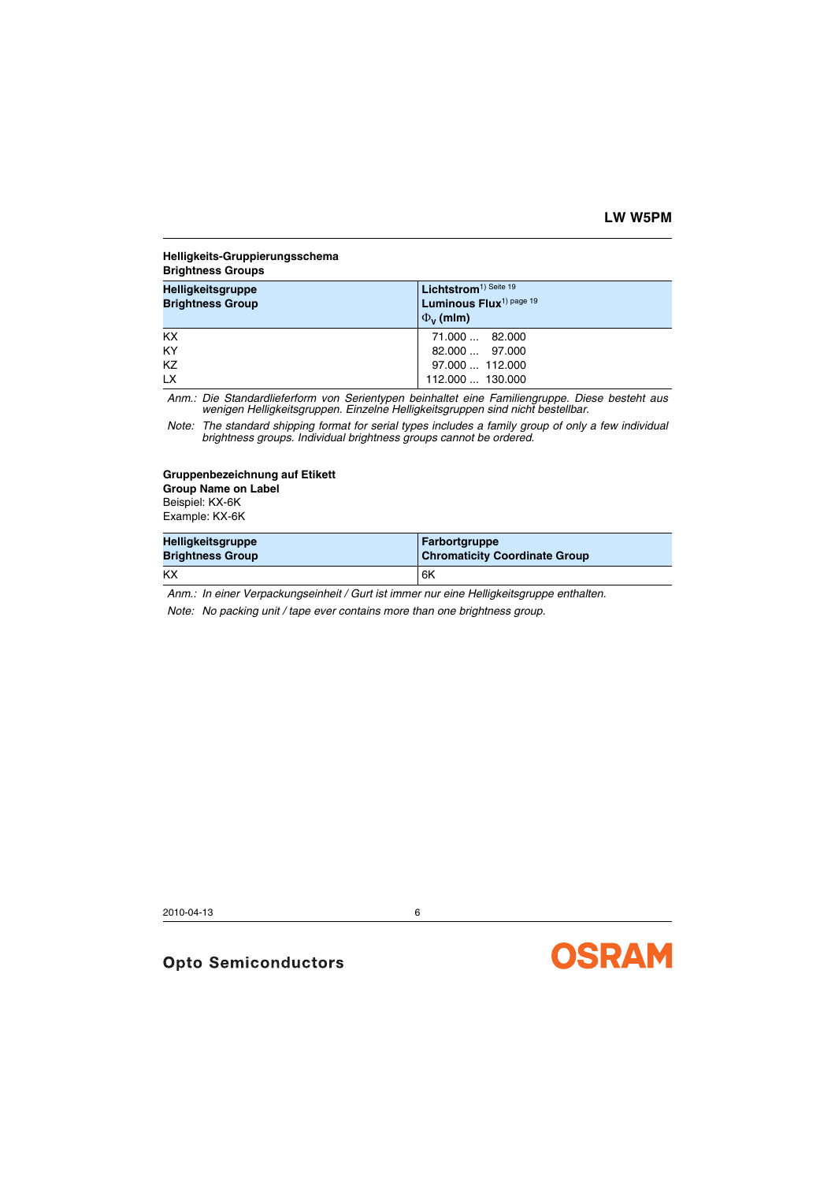#### <span id="page-5-0"></span>**Helligkeits-Gruppierungsschema Brightness Groups**

| <b>Helligkeitsgruppe</b><br><b>Brightness Group</b> | Lichtstrom <sup>1)</sup> Seite 19<br>Luminous Flux <sup>1) page 19</sup><br>$\Phi_{V}$ (mlm) |
|-----------------------------------------------------|----------------------------------------------------------------------------------------------|
| <b>KX</b>                                           | 71.000  82.000                                                                               |
| KY                                                  | 82.000  97.000                                                                               |
| KZ                                                  | 97.000  112.000                                                                              |
| <b>LX</b>                                           | 112.000  130.000                                                                             |

*Anm.: Die Standardlieferform von Serientypen beinhaltet eine Familiengruppe. Diese besteht aus wenigen Helligkeitsgruppen. Einzelne Helligkeitsgruppen sind nicht bestellbar.*

*Note: The standard shipping format for serial types includes a family group of only a few individual brightness groups. Individual brightness groups cannot be ordered.*

#### **Gruppenbezeichnung auf Etikett Group Name on Label**

Beispiel: KX-6K

Example: KX-6K

| <b>Helligkeitsgruppe</b> | <b>Farbortgruppe</b>                 |
|--------------------------|--------------------------------------|
| <b>Brightness Group</b>  | <b>Chromaticity Coordinate Group</b> |
| KX                       | 6K                                   |

*Anm.: In einer Verpackungseinheit / Gurt ist immer nur eine Helligkeitsgruppe enthalten.*

*Note: No packing unit / tape ever contains more than one brightness group.*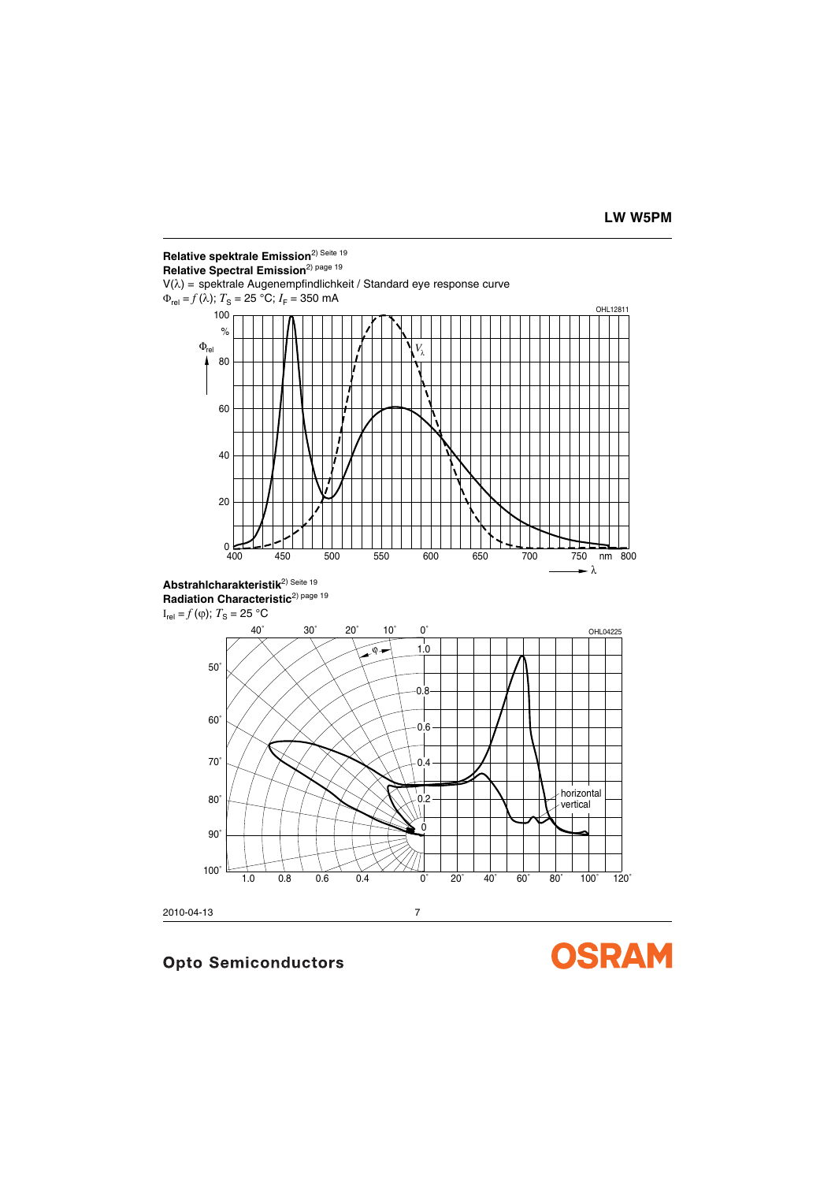



2010-04-13 7

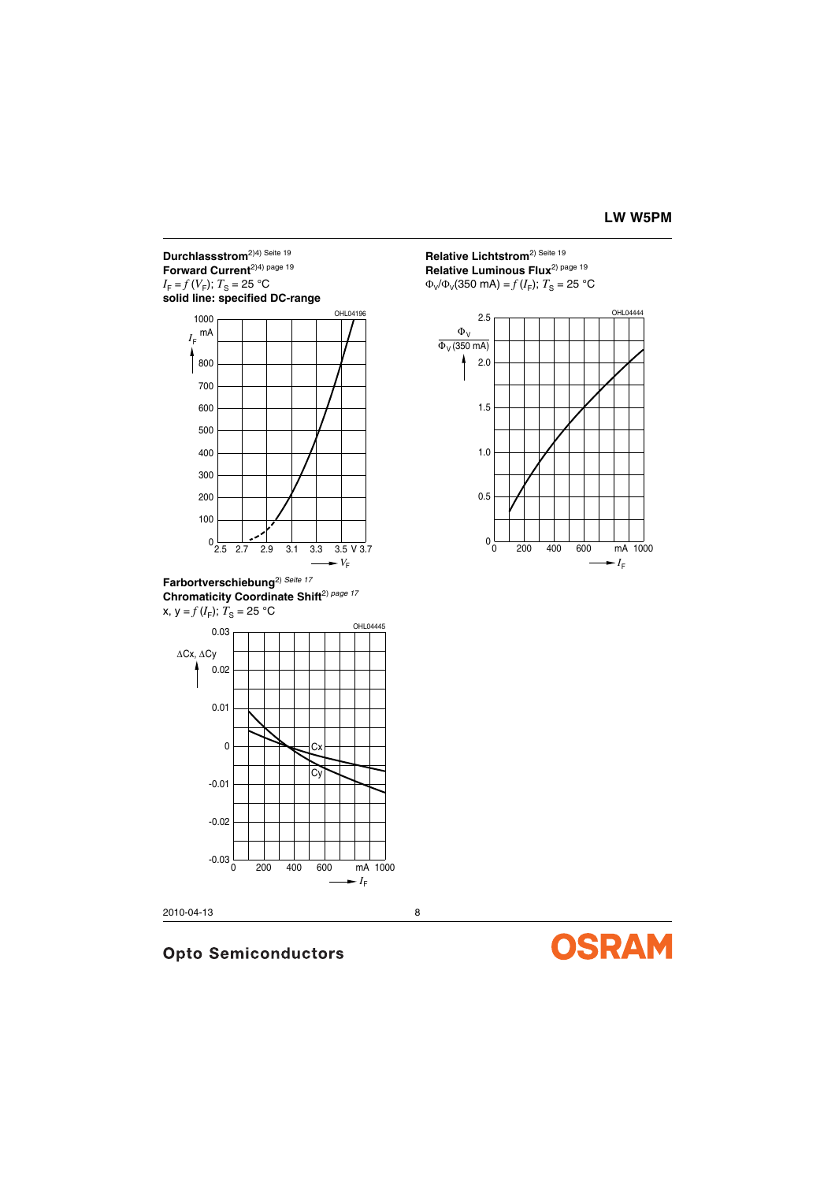### **Durchlassstrom**2)4) [Seite](#page-18-0) <sup>19</sup> **Forward Current**2)4) [page](#page-18-1) <sup>19</sup>  $I_F = f(V_F)$ ;  $T_S = 25$  °C **solid line: specified DC-range**



**Farbortverschiebung**2) *Seite <sup>17</sup>* **Chromaticity Coordinate Shift**2) *page <sup>17</sup>*  $x, y = f(I_F); T_S = 25 °C$ 



2010-04-13 8

# **Relative Lichtstrom**2) [Seite](#page-18-0) <sup>19</sup> **Relative Luminous Flux**2) [page](#page-18-1) <sup>19</sup>  $Φ<sub>V</sub>/Φ<sub>V</sub>(350 mA) = f(I<sub>F</sub>); T<sub>S</sub> = 25 °C$



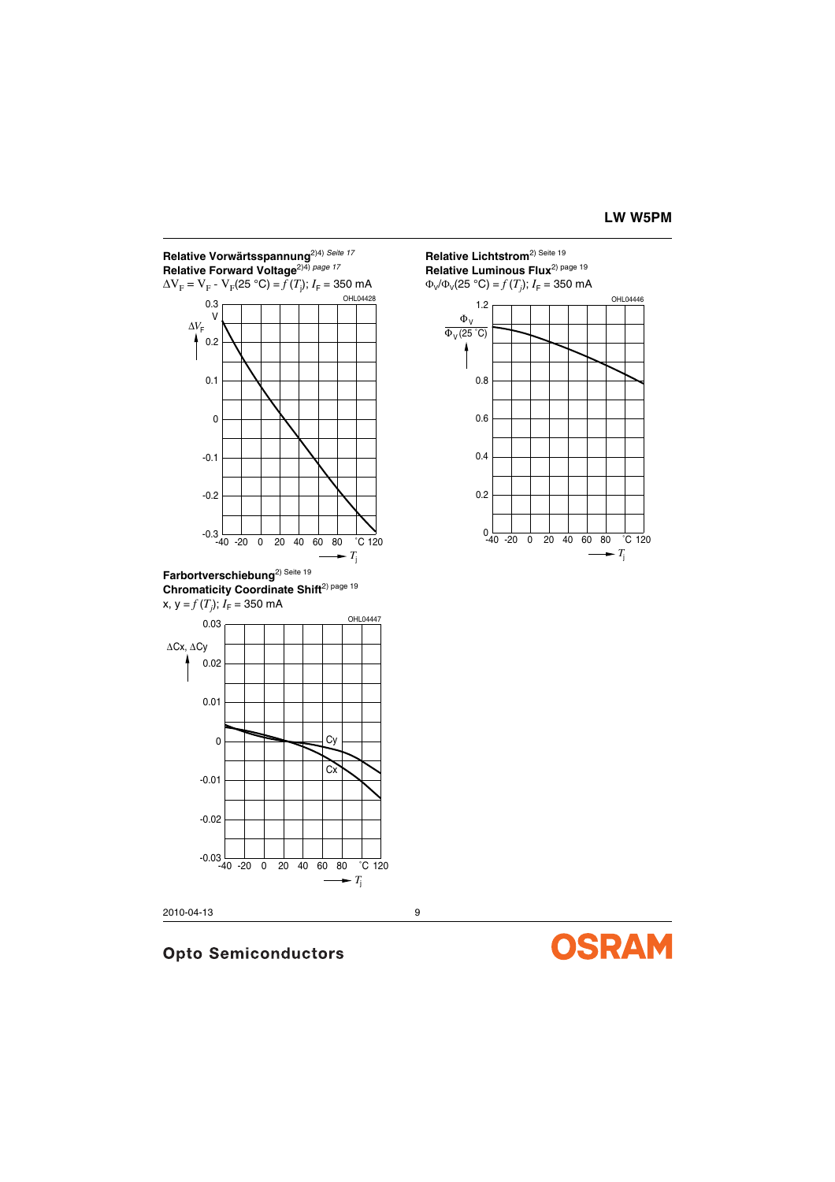

**Chromaticity Coordinate Shift**<sup>2) [page](#page-18-1) 19</sup>



2010-04-13 9

# **Opto Semiconductors**

**Relative Lichtstrom**2) [Seite](#page-18-0) <sup>19</sup> **Relative Luminous Flux**2) [page](#page-18-1) <sup>19</sup>



**OSRAM**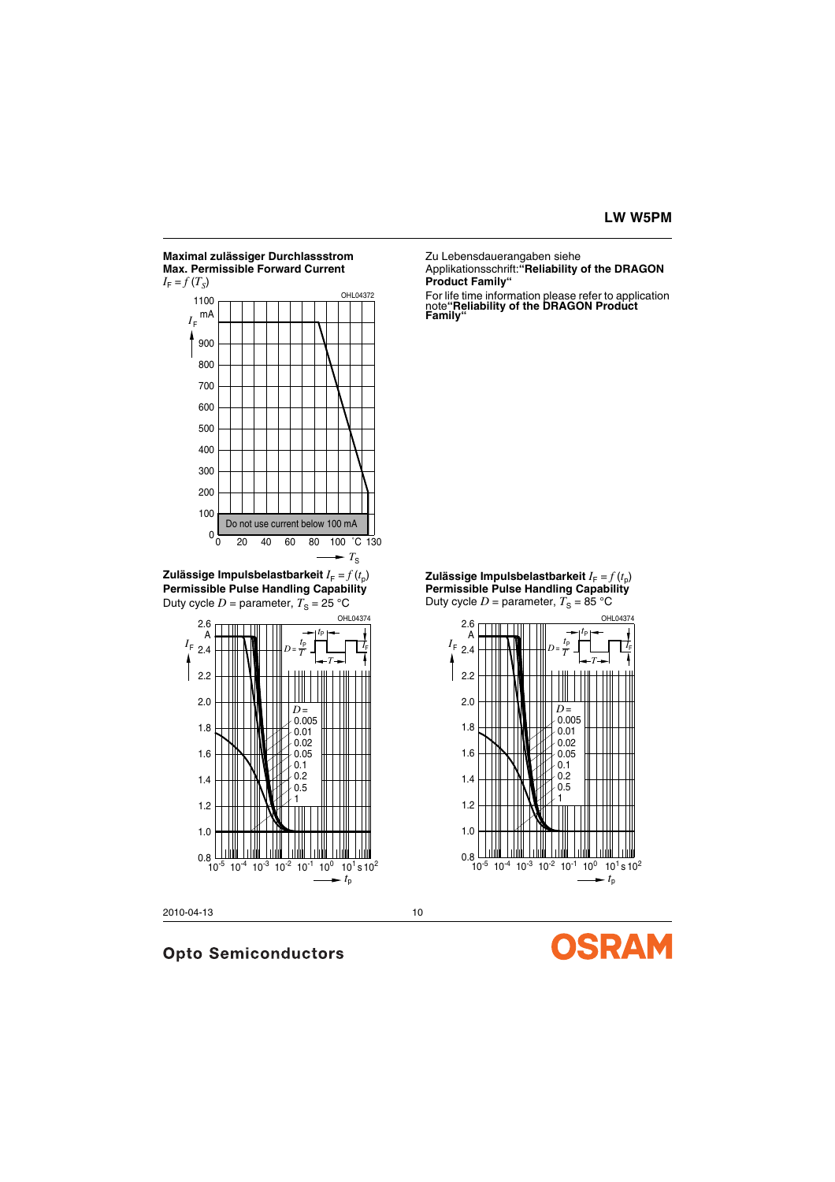#### **Maximal zulässiger Durchlassstrom Max. Permissible Forward Current**  $I_F = f(T_S)$



**Zulässige Impulsbelastbarkeit**  $I_F = f(t_0)$ **Permissible Pulse Handling Capability** Duty cycle  $D =$  parameter,  $T_S = 25$  °C



**Opto Semiconductors** 

2010-04-13 10

Zu Lebensdauerangaben siehe

Applikationsschrift:**"Reliability of the DRAGON Product Family"**

For life time information please refer to application note**"Reliability of the DRAGON Product Family"**





SRAM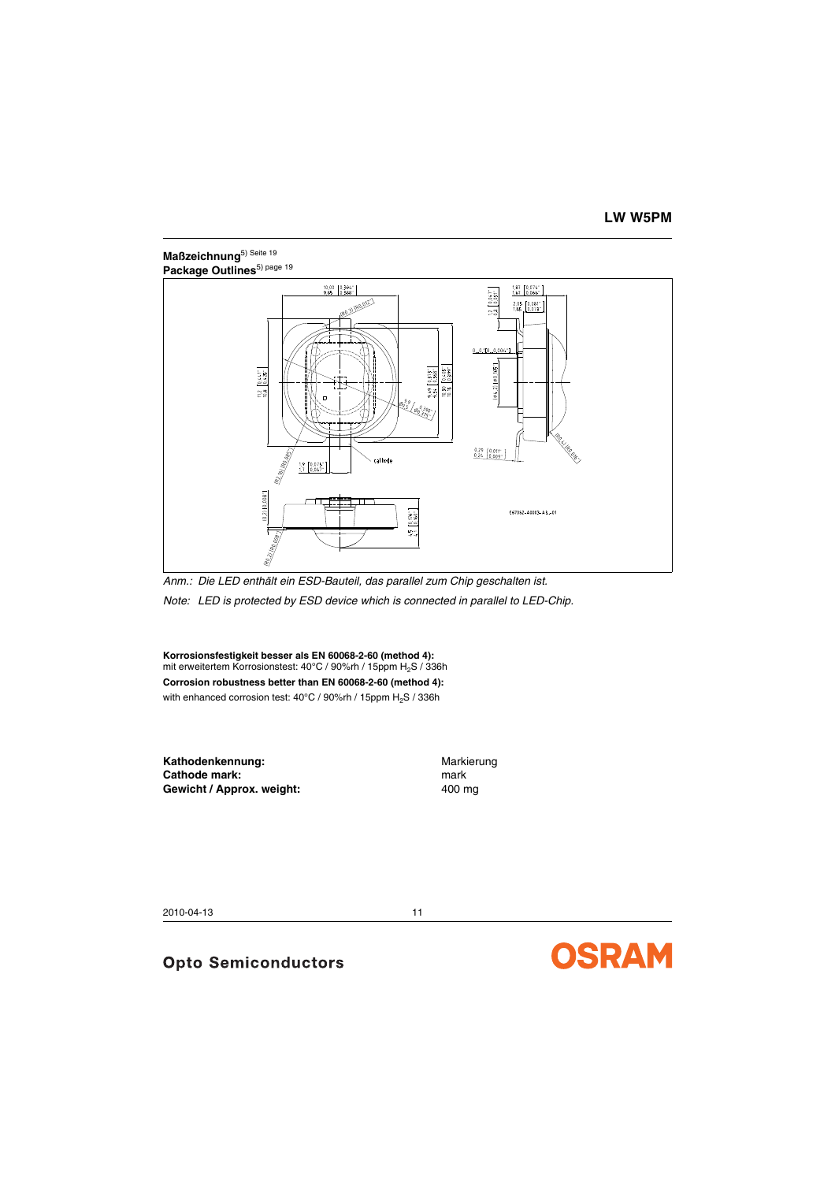# <span id="page-10-0"></span>**Maßzeichnung**5) [Seite](#page-18-0) <sup>19</sup> Package Outlines<sup>5) [page](#page-18-1) 19</sup>



*Anm.: Die LED enthält ein ESD-Bauteil, das parallel zum Chip geschalten ist. Note: LED is protected by ESD device which is connected in parallel to LED-Chip.*

**Korrosionsfestigkeit besser als EN 60068-2-60 (method 4):** mit erweitertem Korrosionstest: 40°C / 90%rh / 15ppm H<sub>2</sub>S / 336h **Corrosion robustness better than EN 60068-2-60 (method 4):**  with enhanced corrosion test: 40°C / 90%rh / 15ppm H<sub>2</sub>S / 336h

Kathodenkennung: Warkierung **Cathode mark:** mark: mark **Gewicht / Approx. weight:** 400 mg

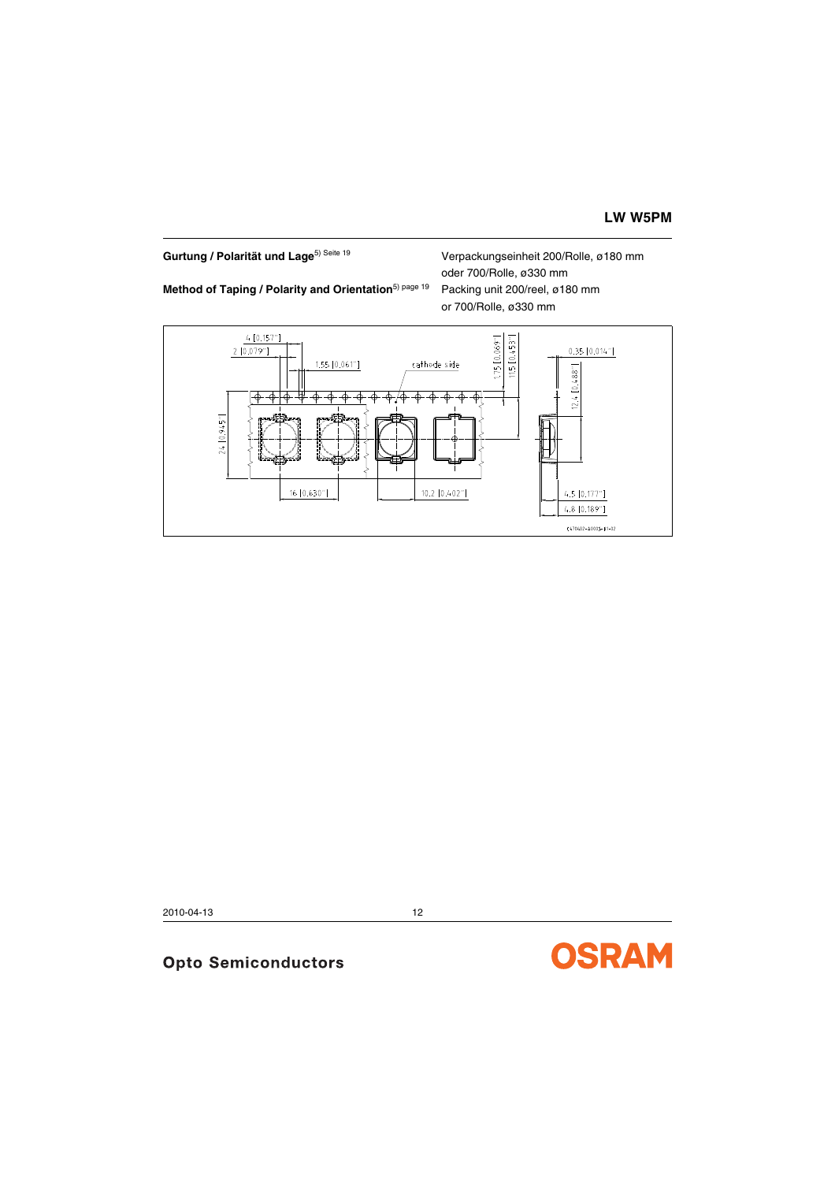# Gurtung / Polarität und Lage<sup>5) [Seite](#page-18-0) 19</sup> Verpackungseinheit 200/Rolle, ø180 mm

oder 700/Rolle, ø330 mm **Method of Taping / Polarity and Orientation**<sup>5) [page](#page-18-1) 19 Packing unit 200/reel, ø180 mm</sup> or 700/Rolle, ø330 mm



2010-04-13 12

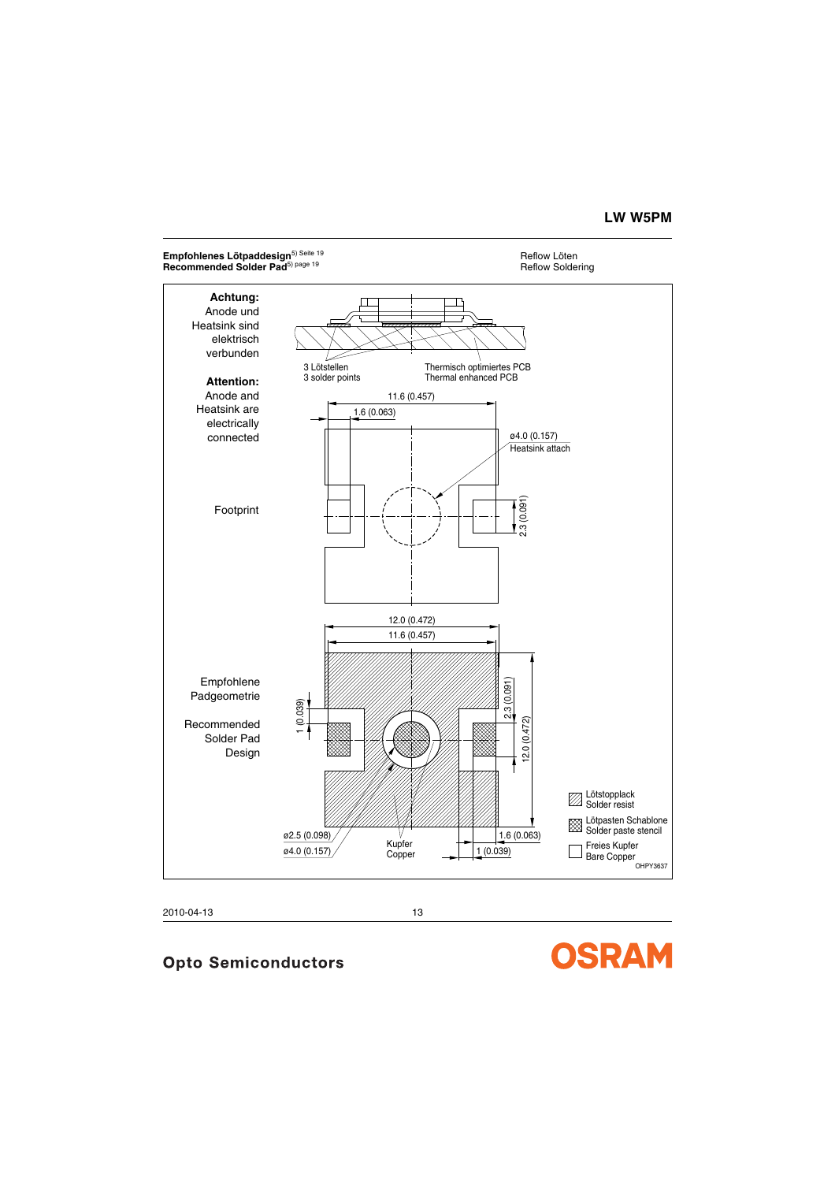# **LW W5PM**

#### **Empfohlenes Lötpaddesign**<sup>5) [Seite](#page-18-0) 19 **Reflow Löten Seite 19 Reflow Löten Reflow Löten**<br>Recommended Solder Pad<sup>5) page 19</sup> Reflow Soldering</sup> **Recommended Solder Pad**<sup>5) [page](#page-18-1) 19</sup>





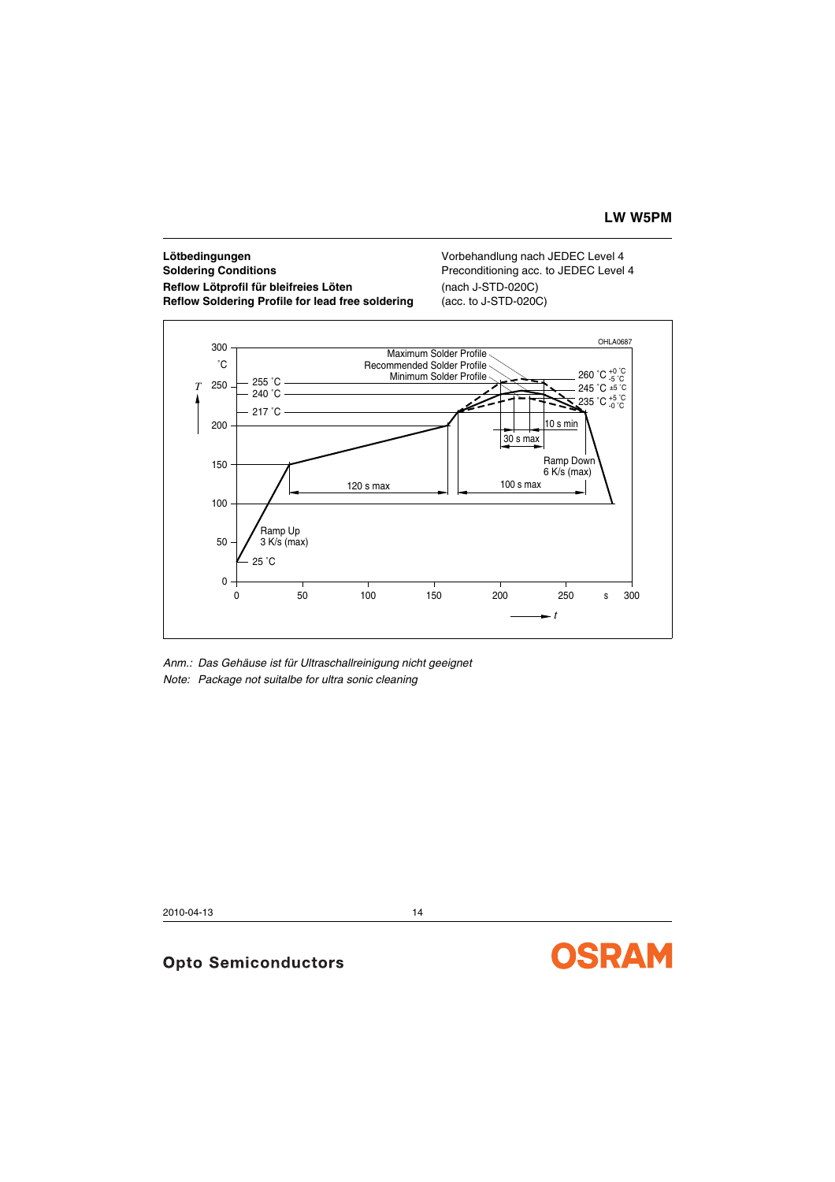# **Lötbedingungen** Vorbehandlung nach JEDEC Level 4 **Soldering Conditions Preconditioning acc. to JEDEC Level 4 Reflow Lötprofil für bleifreies Löten** (nach J-STD-020C) **Reflow Soldering Profile for lead free soldering (acc. to J-STD-020C)**



*Anm.: Das Gehäuse ist für Ultraschallreinigung nicht geeignet Note: Package not suitalbe for ultra sonic cleaning*

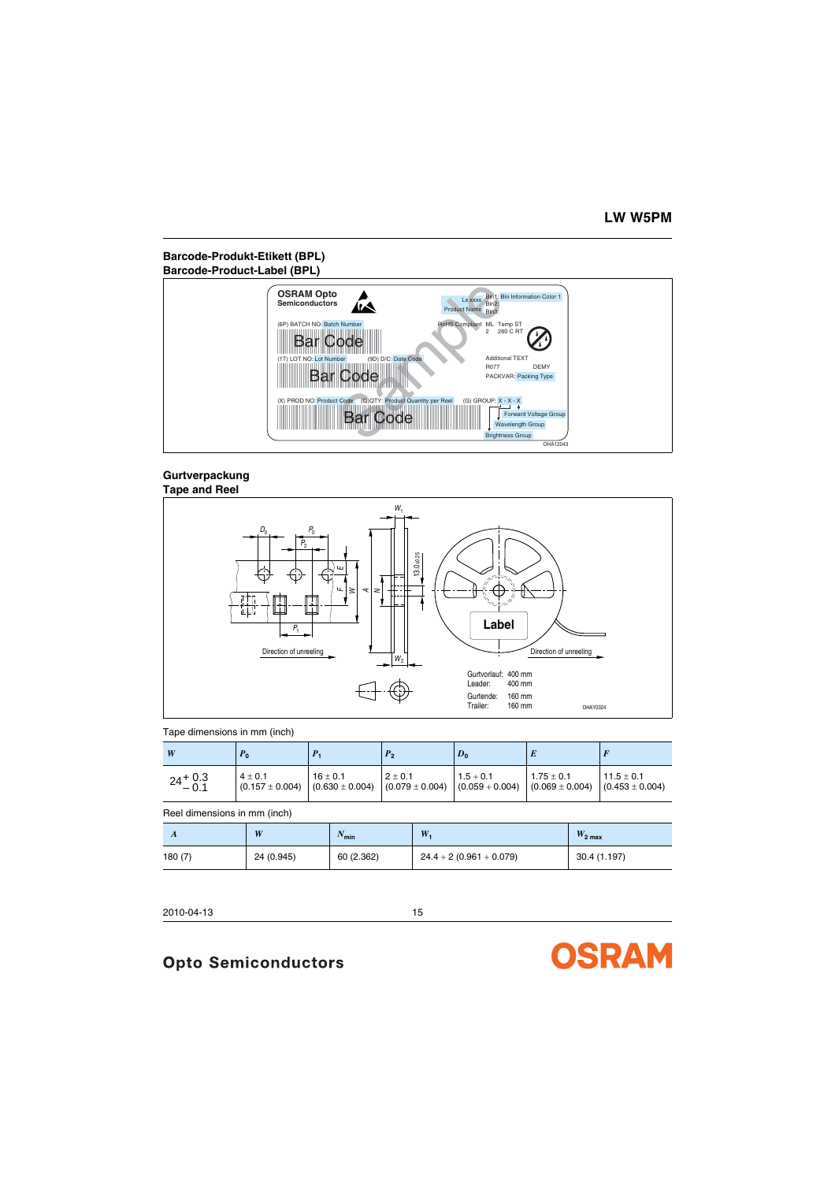# **Barcode-Produkt-Etikett (BPL) Barcode-Product-Label (BPL)**



#### **Gurtverpackung Tape and Reel**



#### Tape dimensions in mm (inch)

| W                  | r <sub>0</sub>                   |                                                                                               |             | $D_0$       |              |                                     |
|--------------------|----------------------------------|-----------------------------------------------------------------------------------------------|-------------|-------------|--------------|-------------------------------------|
| $24^{+0.3}_{-0.1}$ | $4 + 0.1$<br>$(0.157 \pm 0.004)$ | $16 + 0.1$<br>$(0.630 \pm 0.004)$ $(0.079 \pm 0.004)$ $(0.059 \pm 0.004)$ $(0.069 \pm 0.004)$ | $2 \pm 0.1$ | $1.5 + 0.1$ | $1.75 + 0.1$ | $11.5 + 0.1$<br>$(0.453 \pm 0.004)$ |

Reel dimensions in mm (inch)

| $\overline{A}$ | W          | $N_{\text{min}}$ | W.                        | $W_{2\text{ max}}$ |
|----------------|------------|------------------|---------------------------|--------------------|
| 180(7)         | 24 (0.945) | 60 (2.362)       | $24.4 + 2(0.961 + 0.079)$ | 30.4 (1.197)       |

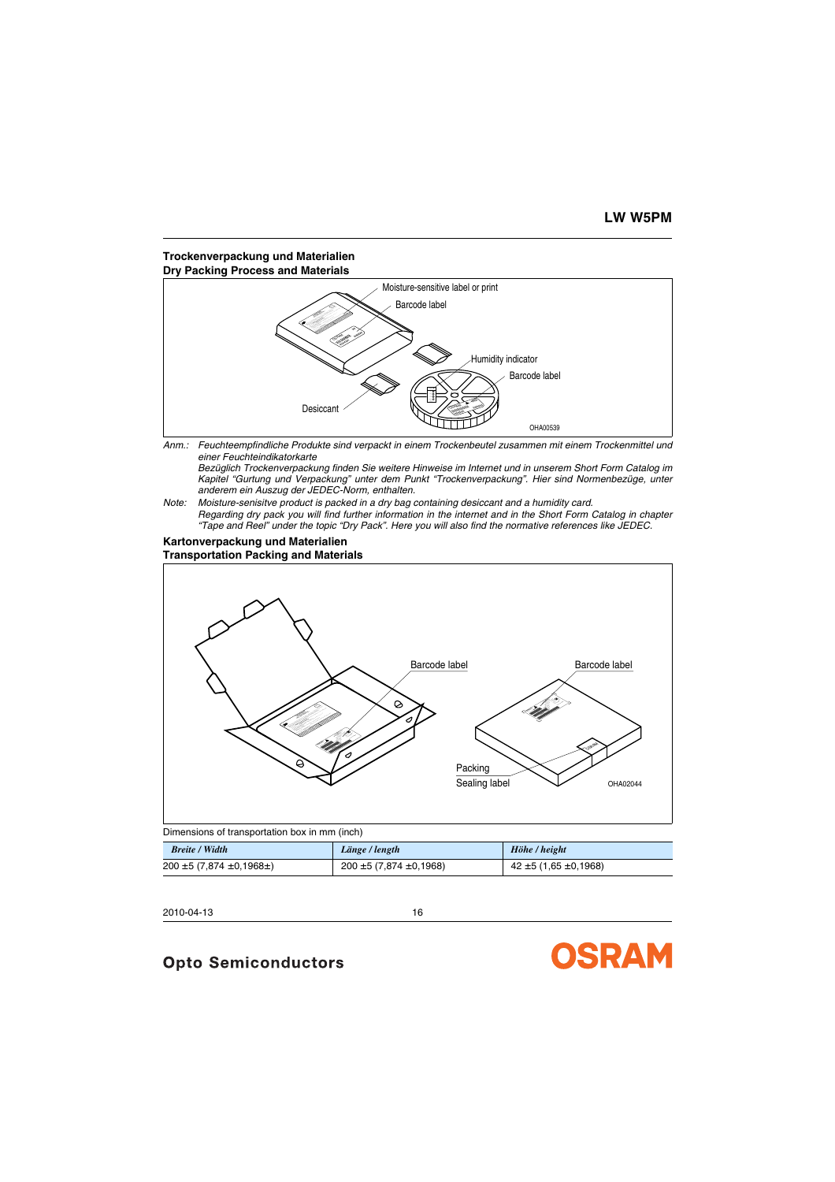### **Trockenverpackung und Materialien Dry Packing Process and Materials**



*Anm.: Feuchteempfindliche Produkte sind verpackt in einem Trockenbeutel zusammen mit einem Trockenmittel und einer Feuchteindikatorkarte*

*Bezüglich Trockenverpackung finden Sie weitere Hinweise im Internet und in unserem Short Form Catalog im Kapitel "Gurtung und Verpackung" unter dem Punkt "Trockenverpackung". Hier sind Normenbezüge, unter anderem ein Auszug der JEDEC-Norm, enthalten.*

*Note: Moisture-senisitve product is packed in a dry bag containing desiccant and a humidity card. Regarding dry pack you will find further information in the internet and in the Short Form Catalog in chapter "Tape and Reel" under the topic "Dry Pack". Here you will also find the normative references like JEDEC.*

#### **Kartonverpackung und Materialien Transportation Packing and Materials**



| <b>Breite / Width</b>               | Länge / length                 | Höhe / height                |
|-------------------------------------|--------------------------------|------------------------------|
| $200 \pm 5 (7,874 \pm 0,1968 \pm )$ | $200 \pm 5 (7,874 \pm 0,1968)$ | $42 \pm 5 (1,65 \pm 0,1968)$ |

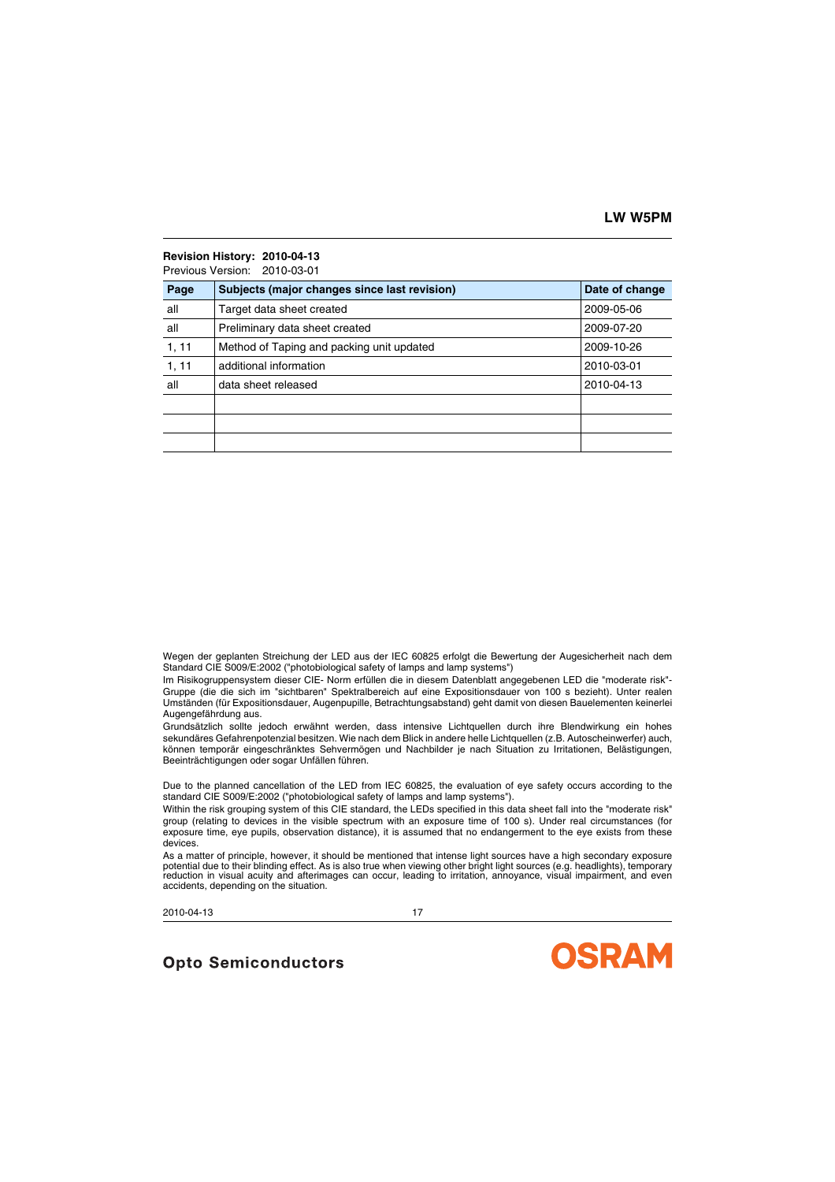# **Revision History: 2010-04-13**

Previous Version: 2010-03-01

| Page  | Subjects (major changes since last revision) | Date of change |
|-------|----------------------------------------------|----------------|
| all   | Target data sheet created                    | 2009-05-06     |
| all   | Preliminary data sheet created               | 2009-07-20     |
| 1, 11 | Method of Taping and packing unit updated    | 2009-10-26     |
| 1, 11 | additional information                       | 2010-03-01     |
| all   | data sheet released                          | 2010-04-13     |
|       |                                              |                |
|       |                                              |                |
|       |                                              |                |

Wegen der geplanten Streichung der LED aus der IEC 60825 erfolgt die Bewertung der Augesicherheit nach dem Standard CIE S009/E:2002 ("photobiological safety of lamps and lamp systems")

Im Risikogruppensystem dieser CIE- Norm erfüllen die in diesem Datenblatt angegebenen LED die "moderate risk"- Gruppe (die die sich im "sichtbaren" Spektralbereich auf eine Expositionsdauer von 100 s bezieht). Unter realen Umständen (für Expositionsdauer, Augenpupille, Betrachtungsabstand) geht damit von diesen Bauelementen keinerlei Augengefährdung aus.

Grundsätzlich sollte jedoch erwähnt werden, dass intensive Lichtquellen durch ihre Blendwirkung ein hohes sekundäres Gefahrenpotenzial besitzen. Wie nach dem Blick in andere helle Lichtquellen (z.B. Autoscheinwerfer) auch, können temporär eingeschränktes Sehvermögen und Nachbilder je nach Situation zu Irritationen, Belästigungen, Beeinträchtigungen oder sogar Unfällen führen.

Due to the planned cancellation of the LED from IEC 60825, the evaluation of eye safety occurs according to the standard CIE S009/E:2002 ("photobiological safety of lamps and lamp systems").

Within the risk grouping system of this CIE standard, the LEDs specified in this data sheet fall into the "moderate risk" group (relating to devices in the visible spectrum with an exposure time of 100 s). Under real circumstances (for exposure time, eye pupils, observation distance), it is assumed that no endangerment to the eye exists from these devices.

As a matter of principle, however, it should be mentioned that intense light sources have a high secondary exposure potential due to their blinding effect. As is also true when viewing other bright light sources (e.g. headlights), temporary reduction in visual acuity and afterimages can occur, leading to irritation, annoyance, visual impairment, and even accidents, depending on the situation.

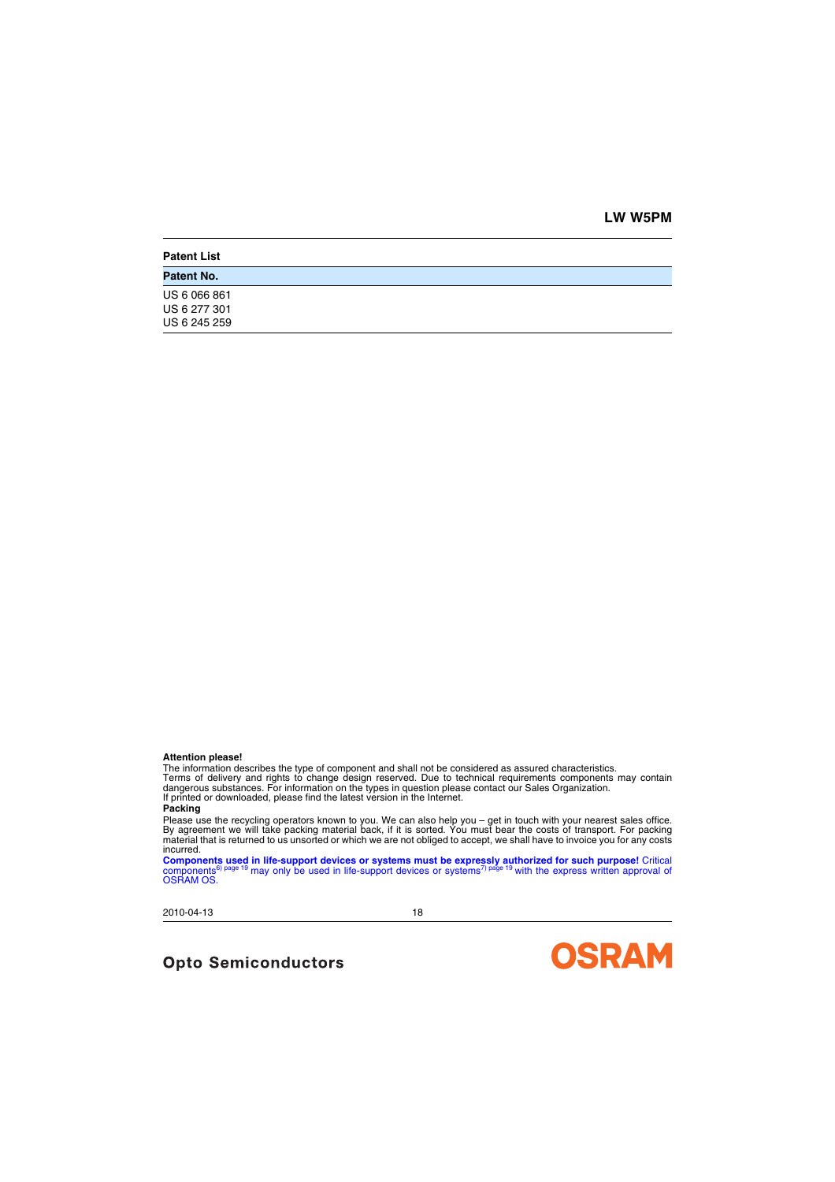#### **Attention please!**

The information describes the type of component and shall not be considered as assured characteristics. Terms of delivery and rights to change design reserved. Due to technical requirements components may contain dangerous substances. For information on the types in question please contact our Sales Organization. If printed or downloaded, please find the latest version in the Internet.

#### **Packing**

Please use the recycling operators known to you. We can also help you – get in touch with your nearest sales office.<br>By agreement we will take packing material back, if it is sorted. You must bear the costs of transport. F incurred.

**Components used in life-support devices or systems must be expressly authorized for such purpose!** Critical<br>components<sup>® [page](#page-18-1) t9</sup> may only be used in life-support devices or systems<sup>7) page t9</sup> with the express written ap

2010-04-13 18